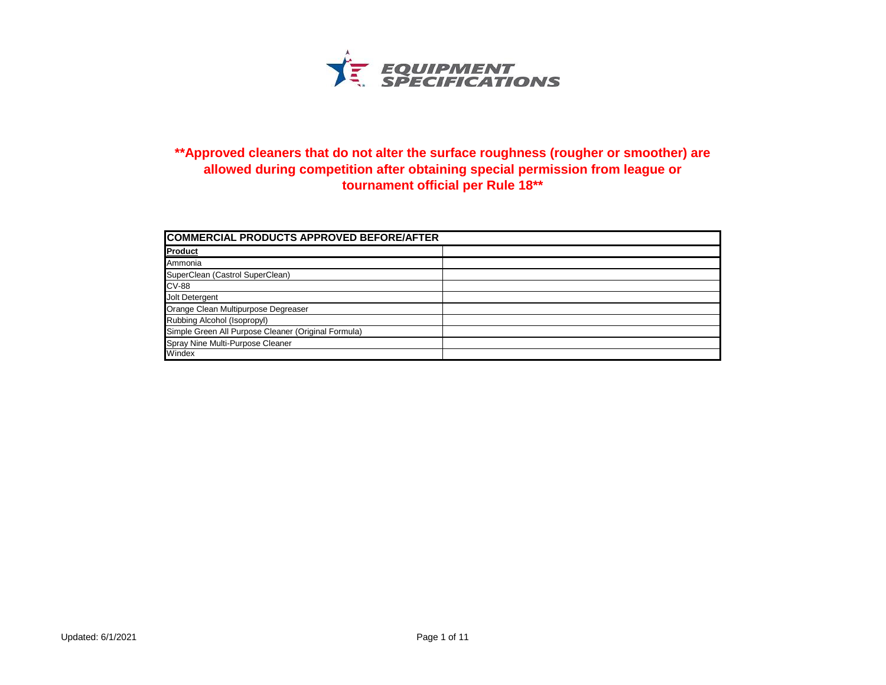

## **\*\*Approved cleaners that do not alter the surface roughness (rougher or smoother) are allowed during competition after obtaining special permission from league or tournament official per Rule 18\*\***

| COMMERCIAL PRODUCTS APPROVED BEFORE/AFTER           |  |
|-----------------------------------------------------|--|
| <b>Product</b>                                      |  |
| Ammonia                                             |  |
| SuperClean (Castrol SuperClean)                     |  |
| <b>CV-88</b>                                        |  |
| Jolt Detergent                                      |  |
| Orange Clean Multipurpose Degreaser                 |  |
| Rubbing Alcohol (Isopropyl)                         |  |
| Simple Green All Purpose Cleaner (Original Formula) |  |
| Spray Nine Multi-Purpose Cleaner                    |  |
| Windex                                              |  |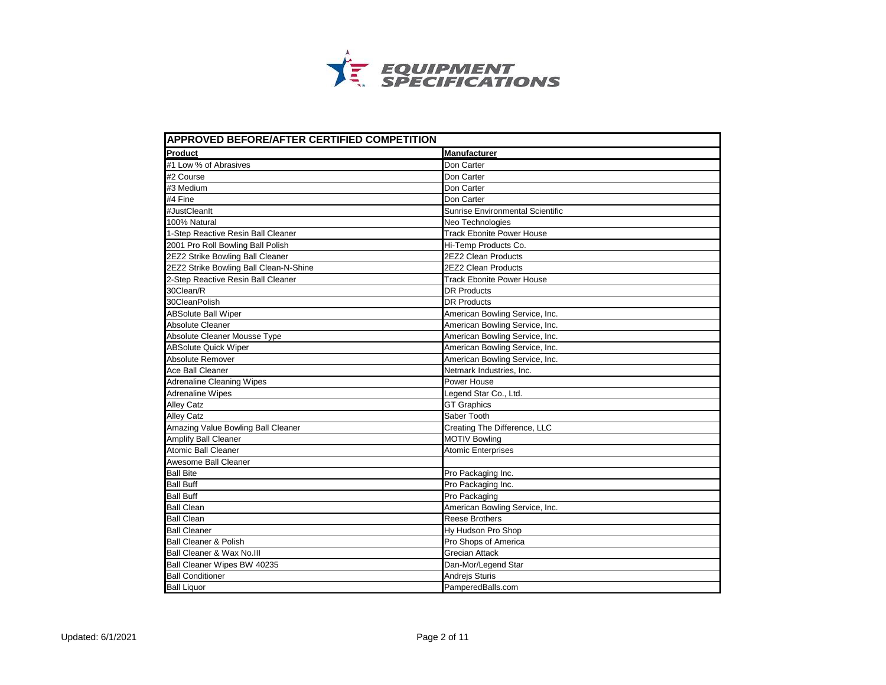

| <b>APPROVED BEFORE/AFTER CERTIFIED COMPETITION</b> |                                         |
|----------------------------------------------------|-----------------------------------------|
| Product                                            | <b>Manufacturer</b>                     |
| #1 Low % of Abrasives                              | Don Carter                              |
| #2 Course                                          | Don Carter                              |
| #3 Medium                                          | Don Carter                              |
| #4 Fine                                            | Don Carter                              |
| #JustCleanIt                                       | <b>Sunrise Environmental Scientific</b> |
| 100% Natural                                       | Neo Technologies                        |
| 1-Step Reactive Resin Ball Cleaner                 | <b>Track Ebonite Power House</b>        |
| 2001 Pro Roll Bowling Ball Polish                  | Hi-Temp Products Co.                    |
| 2EZ2 Strike Bowling Ball Cleaner                   | 2EZ2 Clean Products                     |
| 2EZ2 Strike Bowling Ball Clean-N-Shine             | 2EZ2 Clean Products                     |
| 2-Step Reactive Resin Ball Cleaner                 | <b>Track Ebonite Power House</b>        |
| 30Clean/R                                          | <b>DR Products</b>                      |
| 30CleanPolish                                      | <b>DR Products</b>                      |
| <b>ABSolute Ball Wiper</b>                         | American Bowling Service, Inc.          |
| <b>Absolute Cleaner</b>                            | American Bowling Service, Inc.          |
| Absolute Cleaner Mousse Type                       | American Bowling Service, Inc.          |
| <b>ABSolute Quick Wiper</b>                        | American Bowling Service, Inc.          |
| Absolute Remover                                   | American Bowling Service, Inc.          |
| Ace Ball Cleaner                                   | Netmark Industries, Inc.                |
| <b>Adrenaline Cleaning Wipes</b>                   | Power House                             |
| <b>Adrenaline Wipes</b>                            | Legend Star Co., Ltd.                   |
| <b>Alley Catz</b>                                  | <b>GT Graphics</b>                      |
| <b>Alley Catz</b>                                  | Saber Tooth                             |
| Amazing Value Bowling Ball Cleaner                 | Creating The Difference, LLC            |
| Amplify Ball Cleaner                               | <b>MOTIV Bowling</b>                    |
| <b>Atomic Ball Cleaner</b>                         | Atomic Enterprises                      |
| Awesome Ball Cleaner                               |                                         |
| <b>Ball Bite</b>                                   | Pro Packaging Inc.                      |
| <b>Ball Buff</b>                                   | Pro Packaging Inc.                      |
| <b>Ball Buff</b>                                   | Pro Packaging                           |
| <b>Ball Clean</b>                                  | American Bowling Service, Inc.          |
| <b>Ball Clean</b>                                  | <b>Reese Brothers</b>                   |
| <b>Ball Cleaner</b>                                | Hy Hudson Pro Shop                      |
| <b>Ball Cleaner &amp; Polish</b>                   | Pro Shops of America                    |
| Ball Cleaner & Wax No.III                          | <b>Grecian Attack</b>                   |
| Ball Cleaner Wipes BW 40235                        | Dan-Mor/Legend Star                     |
| <b>Ball Conditioner</b>                            | Andrejs Sturis                          |
| <b>Ball Liquor</b>                                 | PamperedBalls.com                       |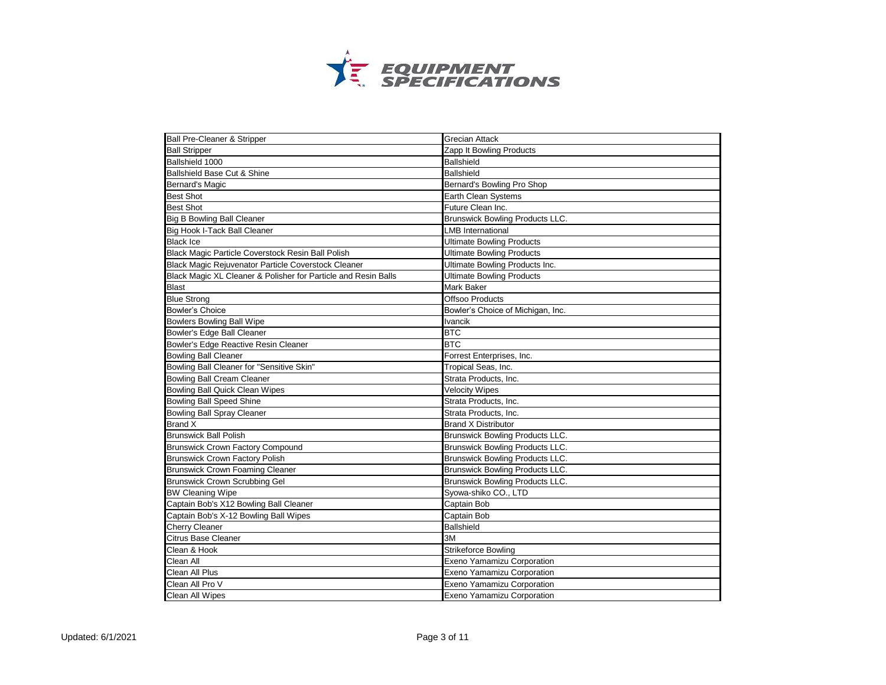

| <b>Ball Pre-Cleaner &amp; Stripper</b>                         | <b>Grecian Attack</b>                  |
|----------------------------------------------------------------|----------------------------------------|
| <b>Ball Stripper</b>                                           | Zapp It Bowling Products               |
| Ballshield 1000                                                | <b>Ballshield</b>                      |
| Ballshield Base Cut & Shine                                    | <b>Ballshield</b>                      |
| <b>Bernard's Magic</b>                                         | Bernard's Bowling Pro Shop             |
| <b>Best Shot</b>                                               | Earth Clean Systems                    |
| <b>Best Shot</b>                                               | Future Clean Inc.                      |
| <b>Big B Bowling Ball Cleaner</b>                              | <b>Brunswick Bowling Products LLC.</b> |
| Big Hook I-Tack Ball Cleaner                                   | LMB International                      |
| <b>Black Ice</b>                                               | <b>Ultimate Bowling Products</b>       |
| Black Magic Particle Coverstock Resin Ball Polish              | <b>Ultimate Bowling Products</b>       |
| Black Magic Rejuvenator Particle Coverstock Cleaner            | Ultimate Bowling Products Inc.         |
| Black Magic XL Cleaner & Polisher for Particle and Resin Balls | <b>Ultimate Bowling Products</b>       |
| <b>Blast</b>                                                   | <b>Mark Baker</b>                      |
| <b>Blue Strong</b>                                             | Offsoo Products                        |
| <b>Bowler's Choice</b>                                         | Bowler's Choice of Michigan, Inc.      |
| <b>Bowlers Bowling Ball Wipe</b>                               | <b>Ivancik</b>                         |
| Bowler's Edge Ball Cleaner                                     | <b>BTC</b>                             |
| Bowler's Edge Reactive Resin Cleaner                           | <b>BTC</b>                             |
| <b>Bowling Ball Cleaner</b>                                    | Forrest Enterprises, Inc.              |
| Bowling Ball Cleaner for "Sensitive Skin"                      | Tropical Seas, Inc.                    |
| <b>Bowling Ball Cream Cleaner</b>                              | Strata Products, Inc.                  |
| <b>Bowling Ball Quick Clean Wipes</b>                          | <b>Velocity Wipes</b>                  |
| <b>Bowling Ball Speed Shine</b>                                | Strata Products, Inc.                  |
| <b>Bowling Ball Spray Cleaner</b>                              | Strata Products, Inc.                  |
| <b>Brand X</b>                                                 | <b>Brand X Distributor</b>             |
| <b>Brunswick Ball Polish</b>                                   | Brunswick Bowling Products LLC.        |
| <b>Brunswick Crown Factory Compound</b>                        | Brunswick Bowling Products LLC.        |
| <b>Brunswick Crown Factory Polish</b>                          | <b>Brunswick Bowling Products LLC.</b> |
| <b>Brunswick Crown Foaming Cleaner</b>                         | Brunswick Bowling Products LLC.        |
| <b>Brunswick Crown Scrubbing Gel</b>                           | Brunswick Bowling Products LLC.        |
| <b>BW Cleaning Wipe</b>                                        | Syowa-shiko CO., LTD                   |
| Captain Bob's X12 Bowling Ball Cleaner                         | Captain Bob                            |
| Captain Bob's X-12 Bowling Ball Wipes                          | Captain Bob                            |
| <b>Cherry Cleaner</b>                                          | <b>Ballshield</b>                      |
| <b>Citrus Base Cleaner</b>                                     | 3M                                     |
| Clean & Hook                                                   | Strikeforce Bowling                    |
| Clean All                                                      | Exeno Yamamizu Corporation             |
| Clean All Plus                                                 | Exeno Yamamizu Corporation             |
| Clean All Pro V                                                | Exeno Yamamizu Corporation             |
| Clean All Wipes                                                | <b>Exeno Yamamizu Corporation</b>      |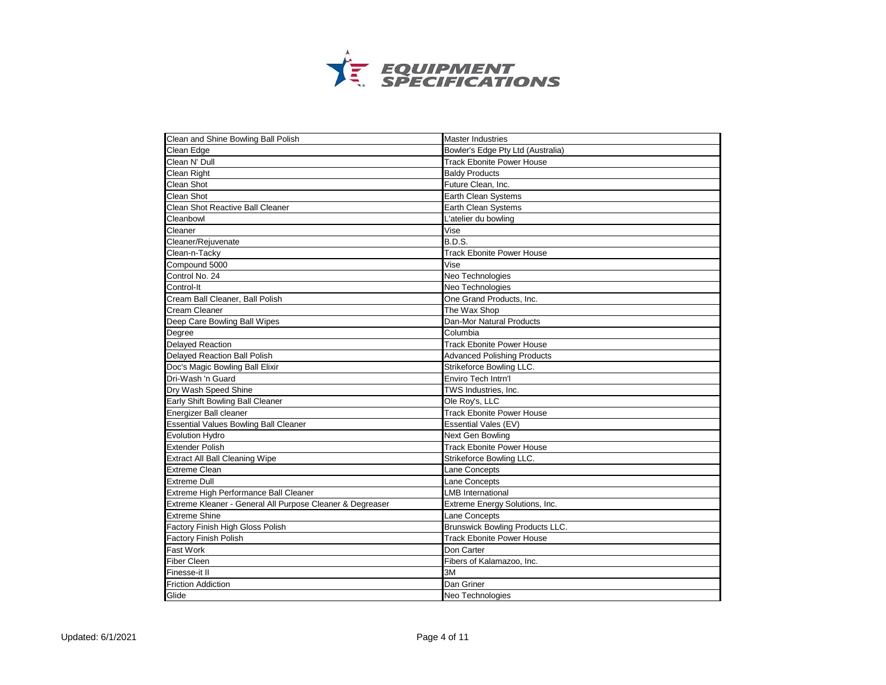

| Clean and Shine Bowling Ball Polish                       | <b>Master Industries</b>               |
|-----------------------------------------------------------|----------------------------------------|
| Clean Edge                                                | Bowler's Edge Pty Ltd (Australia)      |
| Clean N' Dull                                             | <b>Track Ebonite Power House</b>       |
| <b>Clean Right</b>                                        | <b>Baldy Products</b>                  |
| <b>Clean Shot</b>                                         | Future Clean, Inc.                     |
| Clean Shot                                                | Earth Clean Systems                    |
| Clean Shot Reactive Ball Cleaner                          | Earth Clean Systems                    |
| Cleanbowl                                                 | L'atelier du bowling                   |
| Cleaner                                                   | Vise                                   |
| Cleaner/Rejuvenate                                        | B.D.S.                                 |
| Clean-n-Tacky                                             | <b>Track Ebonite Power House</b>       |
| Compound 5000                                             | Vise                                   |
| Control No. 24                                            | Neo Technologies                       |
| Control-It                                                | Neo Technologies                       |
| Cream Ball Cleaner, Ball Polish                           | One Grand Products, Inc.               |
| <b>Cream Cleaner</b>                                      | The Wax Shop                           |
| Deep Care Bowling Ball Wipes                              | Dan-Mor Natural Products               |
| Degree                                                    | Columbia                               |
| <b>Delayed Reaction</b>                                   | <b>Track Ebonite Power House</b>       |
| Delayed Reaction Ball Polish                              | <b>Advanced Polishing Products</b>     |
| Doc's Magic Bowling Ball Elixir                           | Strikeforce Bowling LLC.               |
| Dri-Wash 'n Guard                                         | Enviro Tech Intrn'l                    |
| Dry Wash Speed Shine                                      | TWS Industries, Inc.                   |
| Early Shift Bowling Ball Cleaner                          | Ole Roy's, LLC                         |
| Energizer Ball cleaner                                    | <b>Track Ebonite Power House</b>       |
| <b>Essential Values Bowling Ball Cleaner</b>              | Essential Vales (EV)                   |
| <b>Evolution Hydro</b>                                    | Next Gen Bowling                       |
| <b>Extender Polish</b>                                    | <b>Track Ebonite Power House</b>       |
| <b>Extract All Ball Cleaning Wipe</b>                     | Strikeforce Bowling LLC.               |
| <b>Extreme Clean</b>                                      | Lane Concepts                          |
| <b>Extreme Dull</b>                                       | Lane Concepts                          |
| Extreme High Performance Ball Cleaner                     | <b>LMB</b> International               |
| Extreme Kleaner - General All Purpose Cleaner & Degreaser | Extreme Energy Solutions, Inc.         |
| <b>Extreme Shine</b>                                      | Lane Concepts                          |
| Factory Finish High Gloss Polish                          | <b>Brunswick Bowling Products LLC.</b> |
| Factory Finish Polish                                     | <b>Track Ebonite Power House</b>       |
| Fast Work                                                 | Don Carter                             |
| <b>Fiber Cleen</b>                                        | Fibers of Kalamazoo, Inc.              |
| Finesse-it II                                             | 3M                                     |
| <b>Friction Addiction</b>                                 | Dan Griner                             |
| Glide                                                     | Neo Technologies                       |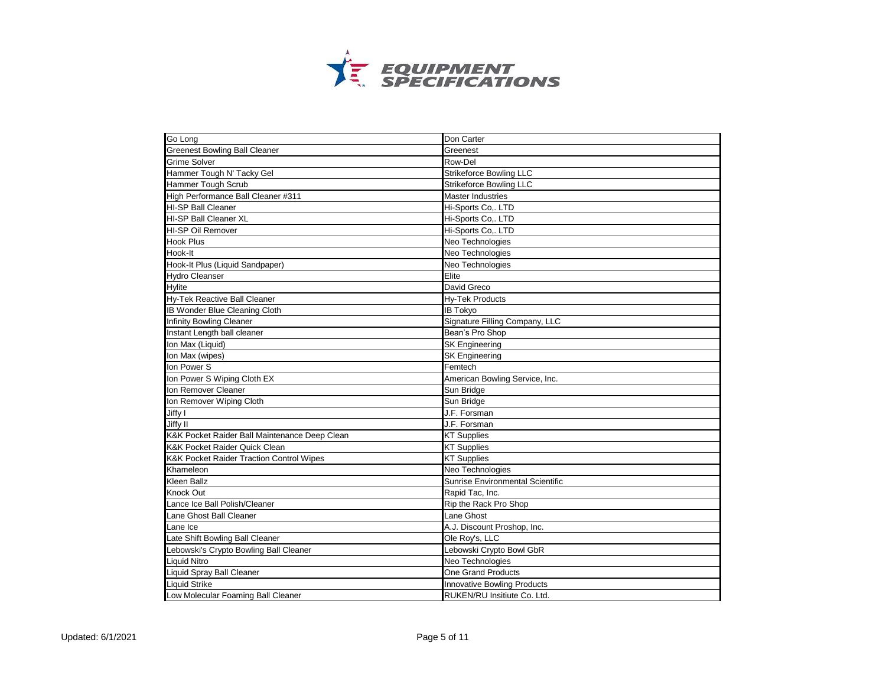

| Go Long                                             | Don Carter                              |
|-----------------------------------------------------|-----------------------------------------|
| <b>Greenest Bowling Ball Cleaner</b>                | Greenest                                |
| <b>Grime Solver</b>                                 | Row-Del                                 |
| Hammer Tough N' Tacky Gel                           | <b>Strikeforce Bowling LLC</b>          |
| <b>Hammer Tough Scrub</b>                           | <b>Strikeforce Bowling LLC</b>          |
| High Performance Ball Cleaner #311                  | <b>Master Industries</b>                |
| <b>HI-SP Ball Cleaner</b>                           | Hi-Sports Co,. LTD                      |
| HI-SP Ball Cleaner XL                               | Hi-Sports Co,. LTD                      |
| HI-SP Oil Remover                                   | Hi-Sports Co,. LTD                      |
| <b>Hook Plus</b>                                    | Neo Technologies                        |
| Hook-It                                             | Neo Technologies                        |
| Hook-It Plus (Liquid Sandpaper)                     | Neo Technologies                        |
| <b>Hydro Cleanser</b>                               | Elite                                   |
| <b>Hylite</b>                                       | David Greco                             |
| <b>Hy-Tek Reactive Ball Cleaner</b>                 | <b>Hy-Tek Products</b>                  |
| <b>IB Wonder Blue Cleaning Cloth</b>                | <b>IB Tokyo</b>                         |
| <b>Infinity Bowling Cleaner</b>                     | Signature Filling Company, LLC          |
| Instant Length ball cleaner                         | Bean's Pro Shop                         |
| Ion Max (Liquid)                                    | <b>SK Engineering</b>                   |
| Ion Max (wipes)                                     | <b>SK Engineering</b>                   |
| Ion Power S                                         | Femtech                                 |
| Ion Power S Wiping Cloth EX                         | American Bowling Service, Inc.          |
| Ion Remover Cleaner                                 | Sun Bridge                              |
| Ion Remover Wiping Cloth                            | Sun Bridge                              |
| Jiffy I                                             | J.F. Forsman                            |
| Jiffy II                                            | J.F. Forsman                            |
| K&K Pocket Raider Ball Maintenance Deep Clean       | <b>KT Supplies</b>                      |
| K&K Pocket Raider Quick Clean                       | <b>KT Supplies</b>                      |
| <b>K&amp;K Pocket Raider Traction Control Wipes</b> | <b>KT Supplies</b>                      |
| Khameleon                                           | Neo Technologies                        |
| Kleen Ballz                                         | <b>Sunrise Environmental Scientific</b> |
| Knock Out                                           | Rapid Tac, Inc.                         |
| Lance Ice Ball Polish/Cleaner                       | Rip the Rack Pro Shop                   |
| Lane Ghost Ball Cleaner                             | Lane Ghost                              |
| Lane Ice                                            | A.J. Discount Proshop, Inc.             |
| Late Shift Bowling Ball Cleaner                     | Ole Roy's, LLC                          |
| Lebowski's Crypto Bowling Ball Cleaner              | Lebowski Crypto Bowl GbR                |
| <b>Liquid Nitro</b>                                 | Neo Technologies                        |
| <b>Liquid Spray Ball Cleaner</b>                    | One Grand Products                      |
| <b>Liquid Strike</b>                                | <b>Innovative Bowling Products</b>      |
| Low Molecular Foaming Ball Cleaner                  | RUKEN/RU Insitiute Co. Ltd.             |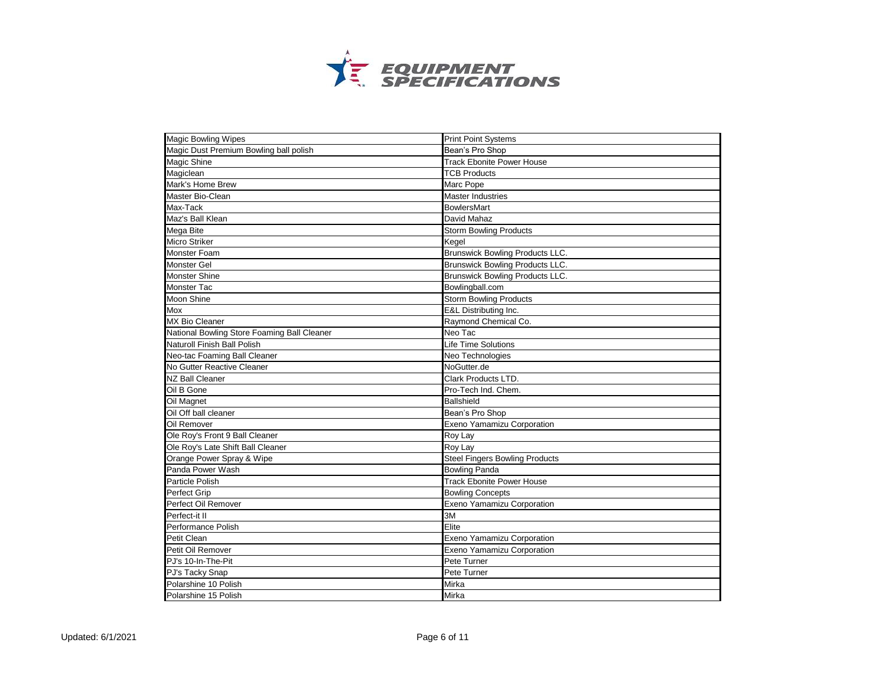

| <b>Magic Bowling Wipes</b>                  | <b>Print Point Systems</b>             |
|---------------------------------------------|----------------------------------------|
| Magic Dust Premium Bowling ball polish      | Bean's Pro Shop                        |
| Magic Shine                                 | <b>Track Ebonite Power House</b>       |
| Magiclean                                   | <b>TCB Products</b>                    |
| Mark's Home Brew                            | Marc Pope                              |
| Master Bio-Clean                            | <b>Master Industries</b>               |
| Max-Tack                                    | <b>BowlersMart</b>                     |
| Maz's Ball Klean                            | David Mahaz                            |
| Mega Bite                                   | <b>Storm Bowling Products</b>          |
| <b>Micro Striker</b>                        | Kegel                                  |
| Monster Foam                                | Brunswick Bowling Products LLC.        |
| Monster Gel                                 | Brunswick Bowling Products LLC.        |
| <b>Monster Shine</b>                        | <b>Brunswick Bowling Products LLC.</b> |
| Monster Tac                                 | Bowlingball.com                        |
| Moon Shine                                  | <b>Storm Bowling Products</b>          |
| Mox                                         | E&L Distributing Inc.                  |
| <b>MX Bio Cleaner</b>                       | Raymond Chemical Co.                   |
| National Bowling Store Foaming Ball Cleaner | Neo Tac                                |
| Naturoll Finish Ball Polish                 | Life Time Solutions                    |
| Neo-tac Foaming Ball Cleaner                | Neo Technologies                       |
| No Gutter Reactive Cleaner                  | NoGutter.de                            |
| <b>NZ Ball Cleaner</b>                      | Clark Products LTD.                    |
| Oil B Gone                                  | Pro-Tech Ind. Chem.                    |
| Oil Magnet                                  | <b>Ballshield</b>                      |
| Oil Off ball cleaner                        | Bean's Pro Shop                        |
| Oil Remover                                 | Exeno Yamamizu Corporation             |
| Ole Roy's Front 9 Ball Cleaner              | Roy Lay                                |
| Ole Roy's Late Shift Ball Cleaner           | Roy Lay                                |
| Orange Power Spray & Wipe                   | <b>Steel Fingers Bowling Products</b>  |
| Panda Power Wash                            | <b>Bowling Panda</b>                   |
| Particle Polish                             | <b>Track Ebonite Power House</b>       |
| <b>Perfect Grip</b>                         | <b>Bowling Concepts</b>                |
| Perfect Oil Remover                         | Exeno Yamamizu Corporation             |
| Perfect-it II                               | 3M                                     |
| Performance Polish                          | Elite                                  |
| Petit Clean                                 | Exeno Yamamizu Corporation             |
| Petit Oil Remover                           | Exeno Yamamizu Corporation             |
| PJ's 10-In-The-Pit                          | Pete Turner                            |
| PJ's Tacky Snap                             | Pete Turner                            |
| Polarshine 10 Polish                        | Mirka                                  |
| Polarshine 15 Polish                        | Mirka                                  |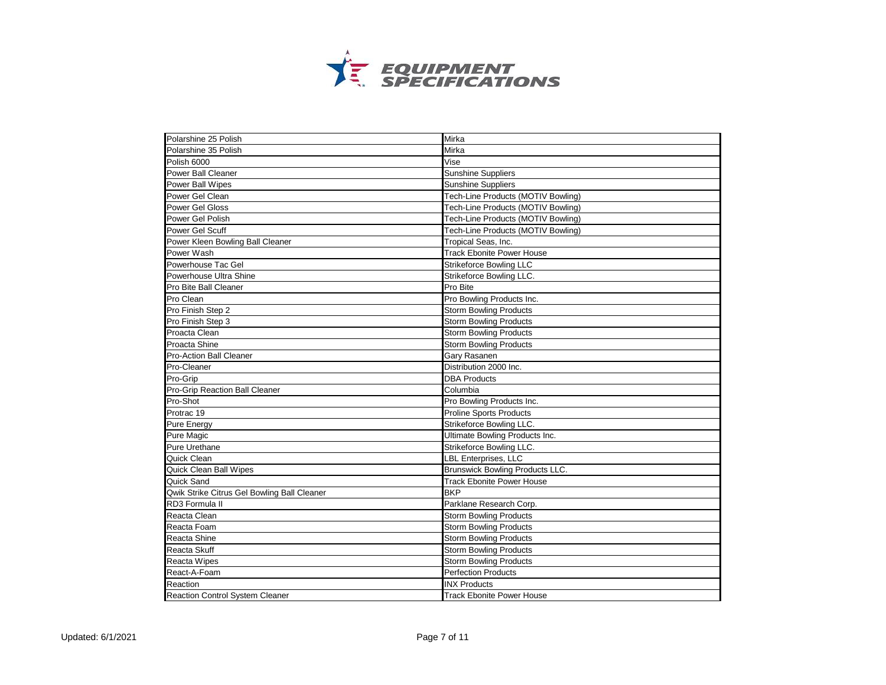

| Polarshine 25 Polish                        | Mirka                              |
|---------------------------------------------|------------------------------------|
| Polarshine 35 Polish                        | Mirka                              |
| Polish 6000                                 | Vise                               |
| <b>Power Ball Cleaner</b>                   | <b>Sunshine Suppliers</b>          |
| Power Ball Wipes                            | <b>Sunshine Suppliers</b>          |
| Power Gel Clean                             | Tech-Line Products (MOTIV Bowling) |
| Power Gel Gloss                             | Tech-Line Products (MOTIV Bowling) |
| Power Gel Polish                            | Tech-Line Products (MOTIV Bowling) |
| Power Gel Scuff                             | Tech-Line Products (MOTIV Bowling) |
| Power Kleen Bowling Ball Cleaner            | Tropical Seas, Inc.                |
| Power Wash                                  | <b>Track Ebonite Power House</b>   |
| Powerhouse Tac Gel                          | <b>Strikeforce Bowling LLC</b>     |
| Powerhouse Ultra Shine                      | Strikeforce Bowling LLC.           |
| Pro Bite Ball Cleaner                       | Pro Bite                           |
| Pro Clean                                   | Pro Bowling Products Inc.          |
| Pro Finish Step 2                           | <b>Storm Bowling Products</b>      |
| Pro Finish Step 3                           | <b>Storm Bowling Products</b>      |
| Proacta Clean                               | <b>Storm Bowling Products</b>      |
| <b>Proacta Shine</b>                        | <b>Storm Bowling Products</b>      |
| Pro-Action Ball Cleaner                     | Gary Rasanen                       |
| Pro-Cleaner                                 | Distribution 2000 Inc.             |
| Pro-Grip                                    | <b>DBA Products</b>                |
| Pro-Grip Reaction Ball Cleaner              | Columbia                           |
| Pro-Shot                                    | Pro Bowling Products Inc.          |
| Protrac 19                                  | <b>Proline Sports Products</b>     |
| <b>Pure Energy</b>                          | Strikeforce Bowling LLC.           |
| Pure Magic                                  | Ultimate Bowling Products Inc.     |
| Pure Urethane                               | Strikeforce Bowling LLC.           |
| Quick Clean                                 | <b>LBL Enterprises, LLC</b>        |
| Quick Clean Ball Wipes                      | Brunswick Bowling Products LLC.    |
| Quick Sand                                  | <b>Track Ebonite Power House</b>   |
| Qwik Strike Citrus Gel Bowling Ball Cleaner | <b>BKP</b>                         |
| RD3 Formula II                              | Parklane Research Corp.            |
| Reacta Clean                                | Storm Bowling Products             |
| Reacta Foam                                 | <b>Storm Bowling Products</b>      |
| Reacta Shine                                | <b>Storm Bowling Products</b>      |
| Reacta Skuff                                | <b>Storm Bowling Products</b>      |
| <b>Reacta Wipes</b>                         | <b>Storm Bowling Products</b>      |
| React-A-Foam                                | <b>Perfection Products</b>         |
| Reaction                                    | <b>INX Products</b>                |
| <b>Reaction Control System Cleaner</b>      | Track Ebonite Power House          |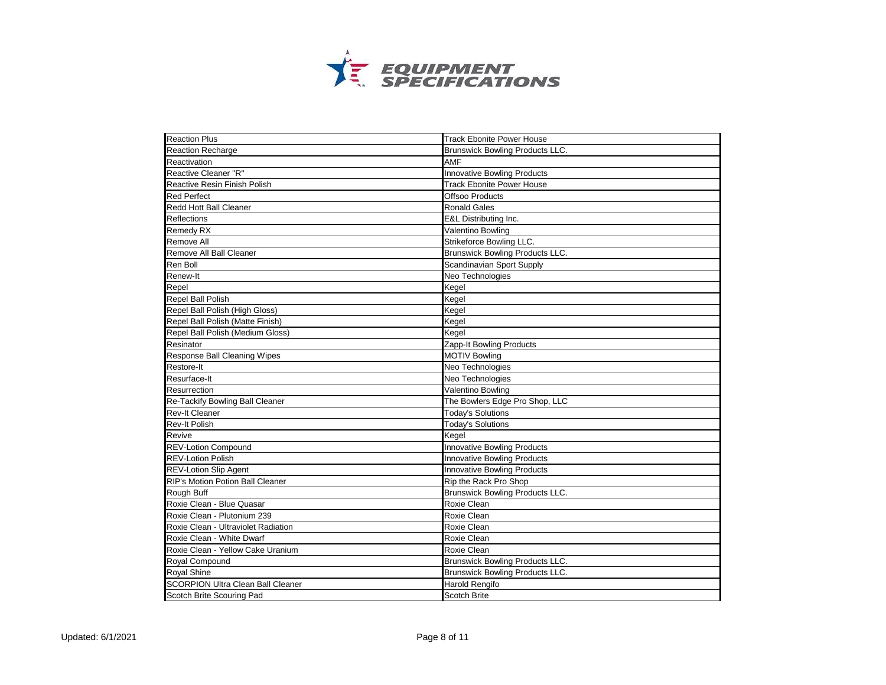

| <b>Reaction Plus</b>                     | <b>Track Ebonite Power House</b>       |
|------------------------------------------|----------------------------------------|
| <b>Reaction Recharge</b>                 | Brunswick Bowling Products LLC.        |
| Reactivation                             | <b>AMF</b>                             |
| <b>Reactive Cleaner "R"</b>              | <b>Innovative Bowling Products</b>     |
| <b>Reactive Resin Finish Polish</b>      | <b>Track Ebonite Power House</b>       |
| <b>Red Perfect</b>                       | Offsoo Products                        |
| <b>Redd Hott Ball Cleaner</b>            | <b>Ronald Gales</b>                    |
| Reflections                              | E&L Distributing Inc.                  |
| Remedy RX                                | Valentino Bowling                      |
| Remove All                               | Strikeforce Bowling LLC.               |
| Remove All Ball Cleaner                  | Brunswick Bowling Products LLC.        |
| Ren Boll                                 | Scandinavian Sport Supply              |
| Renew-It                                 | Neo Technologies                       |
| Repel                                    | Kegel                                  |
| Repel Ball Polish                        | Kegel                                  |
| Repel Ball Polish (High Gloss)           | Kegel                                  |
| Repel Ball Polish (Matte Finish)         | Kegel                                  |
| Repel Ball Polish (Medium Gloss)         | Kegel                                  |
| Resinator                                | Zapp-It Bowling Products               |
| Response Ball Cleaning Wipes             | <b>MOTIV Bowling</b>                   |
| Restore-It                               | Neo Technologies                       |
| Resurface-It                             | Neo Technologies                       |
| Resurrection                             | Valentino Bowling                      |
| Re-Tackify Bowling Ball Cleaner          | The Bowlers Edge Pro Shop, LLC         |
| <b>Rev-It Cleaner</b>                    | <b>Today's Solutions</b>               |
| <b>Rev-It Polish</b>                     | <b>Today's Solutions</b>               |
| Revive                                   | Kegel                                  |
| <b>REV-Lotion Compound</b>               | Innovative Bowling Products            |
| <b>REV-Lotion Polish</b>                 | <b>Innovative Bowling Products</b>     |
| <b>REV-Lotion Slip Agent</b>             | Innovative Bowling Products            |
| <b>RIP's Motion Potion Ball Cleaner</b>  | Rip the Rack Pro Shop                  |
| Rough Buff                               | <b>Brunswick Bowling Products LLC.</b> |
| Roxie Clean - Blue Quasar                | Roxie Clean                            |
| Roxie Clean - Plutonium 239              | Roxie Clean                            |
| Roxie Clean - Ultraviolet Radiation      | Roxie Clean                            |
| Roxie Clean - White Dwarf                | Roxie Clean                            |
| Roxie Clean - Yellow Cake Uranium        | Roxie Clean                            |
| Royal Compound                           | Brunswick Bowling Products LLC.        |
| <b>Royal Shine</b>                       | Brunswick Bowling Products LLC.        |
| <b>SCORPION Ultra Clean Ball Cleaner</b> | Harold Rengifo                         |
| Scotch Brite Scouring Pad                | <b>Scotch Brite</b>                    |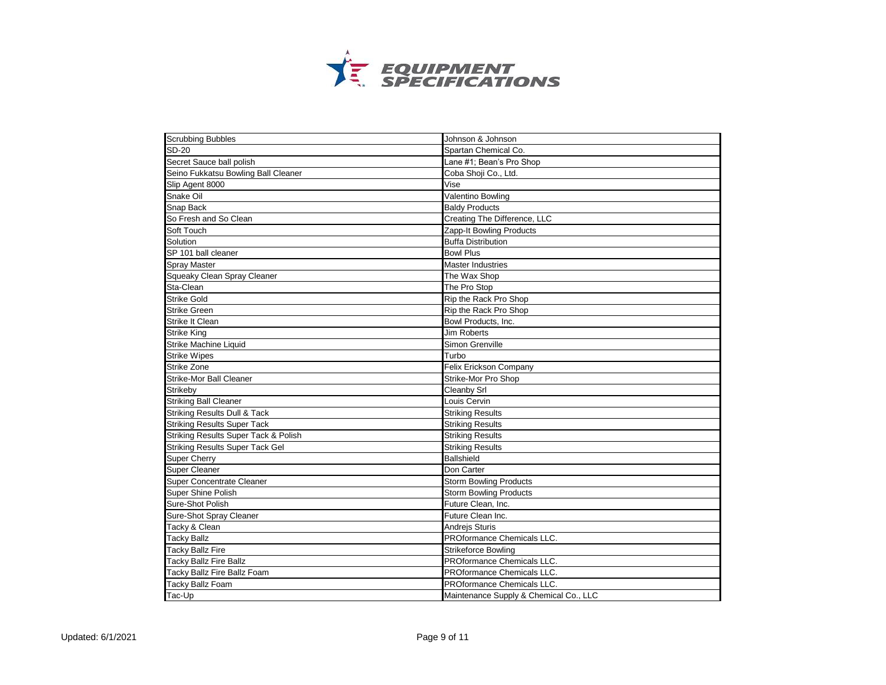

| <b>Scrubbing Bubbles</b>                        | Johnson & Johnson                      |
|-------------------------------------------------|----------------------------------------|
| <b>SD-20</b>                                    | Spartan Chemical Co.                   |
| Secret Sauce ball polish                        | Lane #1; Bean's Pro Shop               |
| Seino Fukkatsu Bowling Ball Cleaner             | Coba Shoji Co., Ltd.                   |
| Slip Agent 8000                                 | Vise                                   |
| Snake Oil                                       | Valentino Bowling                      |
| Snap Back                                       | <b>Baldy Products</b>                  |
| So Fresh and So Clean                           | Creating The Difference, LLC           |
| Soft Touch                                      | Zapp-It Bowling Products               |
| Solution                                        | <b>Buffa Distribution</b>              |
| SP 101 ball cleaner                             | <b>Bowl Plus</b>                       |
| <b>Spray Master</b>                             | <b>Master Industries</b>               |
| Squeaky Clean Spray Cleaner                     | The Wax Shop                           |
| Sta-Clean                                       | The Pro Stop                           |
| <b>Strike Gold</b>                              | Rip the Rack Pro Shop                  |
| <b>Strike Green</b>                             | Rip the Rack Pro Shop                  |
| Strike It Clean                                 | Bowl Products, Inc.                    |
| <b>Strike King</b>                              | <b>Jim Roberts</b>                     |
| Strike Machine Liquid                           | Simon Grenville                        |
| <b>Strike Wipes</b>                             | Turbo                                  |
| Strike Zone                                     | Felix Erickson Company                 |
| Strike-Mor Ball Cleaner                         | <b>Strike-Mor Pro Shop</b>             |
| Strikeby                                        | Cleanby Srl                            |
| <b>Striking Ball Cleaner</b>                    | Louis Cervin                           |
| <b>Striking Results Dull &amp; Tack</b>         | <b>Striking Results</b>                |
| <b>Striking Results Super Tack</b>              | <b>Striking Results</b>                |
| <b>Striking Results Super Tack &amp; Polish</b> | <b>Striking Results</b>                |
| <b>Striking Results Super Tack Gel</b>          | <b>Striking Results</b>                |
| <b>Super Cherry</b>                             | <b>Ballshield</b>                      |
| <b>Super Cleaner</b>                            | Don Carter                             |
| <b>Super Concentrate Cleaner</b>                | <b>Storm Bowling Products</b>          |
| Super Shine Polish                              | Storm Bowling Products                 |
| Sure-Shot Polish                                | Future Clean, Inc.                     |
| Sure-Shot Spray Cleaner                         | Future Clean Inc.                      |
| Tacky & Clean                                   | Andrejs Sturis                         |
| <b>Tacky Ballz</b>                              | PROformance Chemicals LLC.             |
| <b>Tacky Ballz Fire</b>                         | Strikeforce Bowling                    |
| <b>Tacky Ballz Fire Ballz</b>                   | PROformance Chemicals LLC.             |
| Tacky Ballz Fire Ballz Foam                     | PROformance Chemicals LLC.             |
| <b>Tacky Ballz Foam</b>                         | PROformance Chemicals LLC.             |
| Tac-Up                                          | Maintenance Supply & Chemical Co., LLC |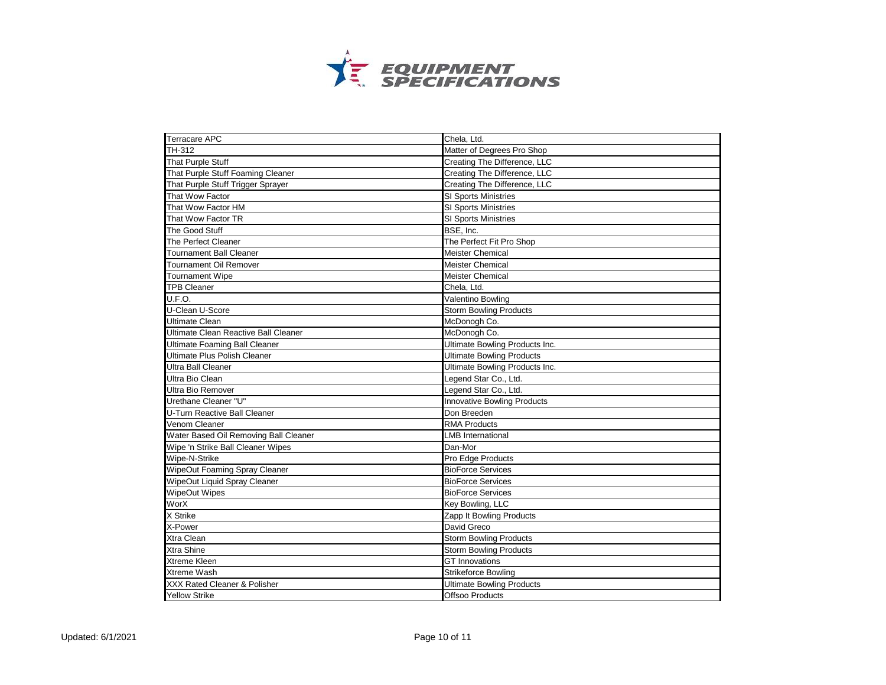

| <b>Terracare APC</b>                  | Chela, Ltd.                        |
|---------------------------------------|------------------------------------|
| TH-312                                | Matter of Degrees Pro Shop         |
| That Purple Stuff                     | Creating The Difference, LLC       |
| That Purple Stuff Foaming Cleaner     | Creating The Difference, LLC       |
| That Purple Stuff Trigger Sprayer     | Creating The Difference, LLC       |
| That Wow Factor                       | <b>SI Sports Ministries</b>        |
| That Wow Factor HM                    | <b>SI Sports Ministries</b>        |
| That Wow Factor TR                    | SI Sports Ministries               |
| The Good Stuff                        | BSE, Inc.                          |
| The Perfect Cleaner                   | The Perfect Fit Pro Shop           |
| <b>Tournament Ball Cleaner</b>        | <b>Meister Chemical</b>            |
| <b>Tournament Oil Remover</b>         | <b>Meister Chemical</b>            |
| <b>Tournament Wipe</b>                | <b>Meister Chemical</b>            |
| <b>TPB Cleaner</b>                    | Chela, Ltd.                        |
| U.F.O.                                | Valentino Bowling                  |
| U-Clean U-Score                       | <b>Storm Bowling Products</b>      |
| <b>Ultimate Clean</b>                 | McDonogh Co.                       |
| Ultimate Clean Reactive Ball Cleaner  | McDonogh Co.                       |
| <b>Ultimate Foaming Ball Cleaner</b>  | Ultimate Bowling Products Inc.     |
| <b>Ultimate Plus Polish Cleaner</b>   | <b>Ultimate Bowling Products</b>   |
| <b>Ultra Ball Cleaner</b>             | Ultimate Bowling Products Inc.     |
| Ultra Bio Clean                       | Legend Star Co., Ltd.              |
| Ultra Bio Remover                     | Legend Star Co., Ltd.              |
| Urethane Cleaner "U"                  | <b>Innovative Bowling Products</b> |
| U-Turn Reactive Ball Cleaner          | Don Breeden                        |
| Venom Cleaner                         | <b>RMA Products</b>                |
| Water Based Oil Removing Ball Cleaner | <b>LMB International</b>           |
| Wipe 'n Strike Ball Cleaner Wipes     | Dan-Mor                            |
| Wipe-N-Strike                         | Pro Edge Products                  |
| WipeOut Foaming Spray Cleaner         | <b>BioForce Services</b>           |
| WipeOut Liquid Spray Cleaner          | <b>BioForce Services</b>           |
| WipeOut Wipes                         | <b>BioForce Services</b>           |
| WorX                                  | Key Bowling, LLC                   |
| X Strike                              | Zapp It Bowling Products           |
| X-Power                               | David Greco                        |
| Xtra Clean                            | <b>Storm Bowling Products</b>      |
| Xtra Shine                            | <b>Storm Bowling Products</b>      |
| <b>Xtreme Kleen</b>                   | <b>GT</b> Innovations              |
| Xtreme Wash                           | Strikeforce Bowling                |
| XXX Rated Cleaner & Polisher          | <b>Ultimate Bowling Products</b>   |
| <b>Yellow Strike</b>                  | Offsoo Products                    |